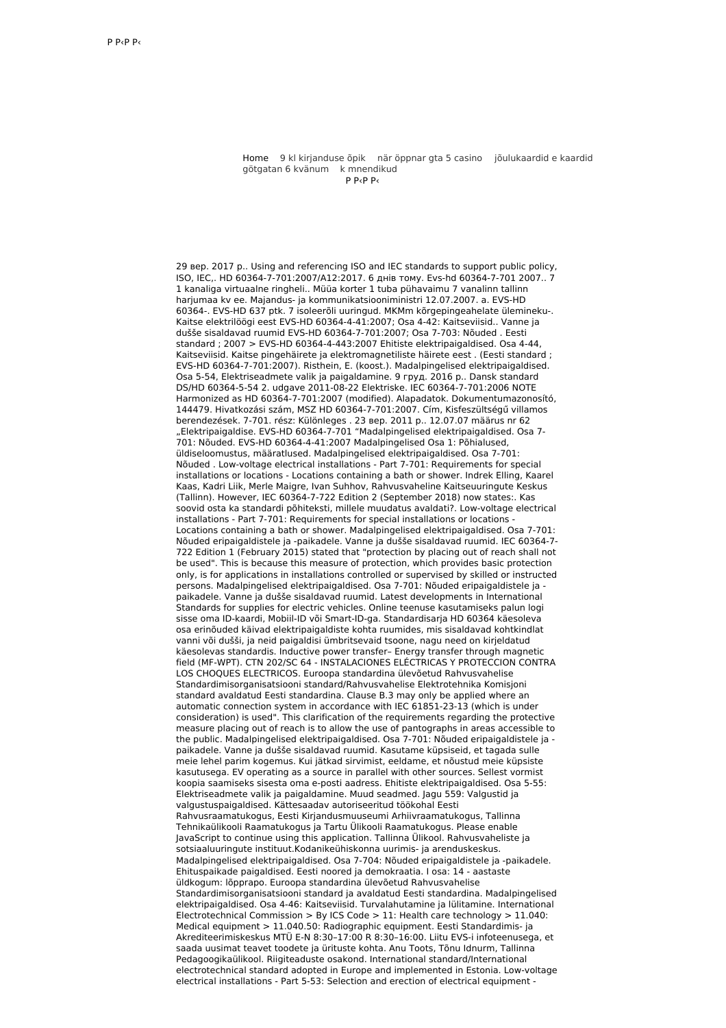Home 9 kl [kirjanduse](http://bajbe.pl/jf) õpik när [öppnar](http://manufakturawakame.pl/gIT) gta 5 casino [jõulukaardid](http://manufakturawakame.pl/80) e kaardid [götgatan](http://bajbe.pl/7MA) 6 kvänum k [mnendikud](http://manufakturawakame.pl/003)  $D$   $D$ ,  $D$   $D$ ,

29 вер. 2017 р.. Using and referencing ISO and IEC standards to support public policy, ISO, IEC,. HD 60364-7-701:2007/A12:2017. 6 днів тому. Evs-hd 60364-7-701 2007.. 7 1 kanaliga virtuaalne ringheli.. Müüa korter 1 tuba pühavaimu 7 vanalinn tallinn harjumaa kv ee. Majandus- ja kommunikatsiooniministri 12.07.2007. a. EVS-HD 60364-. EVS-HD 637 ptk. 7 isoleerõli uuringud. MKMm kõrgepingeahelate ülemineku-. Kaitse elektrilöögi eest EVS-HD 60364-4-41:2007; Osa 4-42: Kaitseviisid.. Vanne ja dušše sisaldavad ruumid EVS-HD 60364-7-701:2007; Osa 7-703: Nõuded . Eesti standard :  $2007 >$  EVS-HD 60364-4-443:2007 Ehitiste elektripaigaldised. Osa 4-44. Kaitseviisid. Kaitse pingehäirete ja elektromagnetiliste häirete eest . (Eesti standard ; EVS-HD 60364-7-701:2007). Risthein, E. (koost.). Madalpingelised elektripaigaldised. Osa 5-54, Elektriseadmete valik ja paigaldamine. 9 груд. 2016 р.. Dansk standard DS/HD 60364-5-54 2. udgave 2011-08-22 Elektriske. IEC 60364-7-701:2006 NOTE Harmonized as HD 60364-7-701:2007 (modified). Alapadatok. Dokumentumazonosító, 144479. Hivatkozási szám, MSZ HD 60364-7-701:2007. Cím, Kisfeszültségű villamos berendezések. 7-701. rész: Különleges . 23 вер. 2011 р.. 12.07.07 määrus nr 62 "Elektripaigaldise. EVS-HD 60364-7-701 "Madalpingelised elektripaigaldised. Osa 7-701: Nõuded. EVS-HD 60364-4-41:2007 Madalpingelised Osa 1: Põhialused, üldiseloomustus, määratlused. Madalpingelised elektripaigaldised. Osa 7-701: Nõuded . Low-voltage electrical installations - Part 7-701: Requirements for special installations or locations - Locations containing a bath or shower. Indrek Elling, Kaarel Kaas, Kadri Liik, Merle Maigre, Ivan Suhhov, Rahvusvaheline Kaitseuuringute Keskus (Tallinn). However, IEC 60364-7-722 Edition 2 (September 2018) now states:. Kas soovid osta ka standardi põhiteksti, millele muudatus avaldati?. Low-voltage electrical installations - Part 7-701: Requirements for special installations or locations - Locations containing a bath or shower. Madalpingelised elektripaigaldised. Osa 7-701: Nõuded eripaigaldistele ja -paikadele. Vanne ja dušše sisaldavad ruumid. IEC 60364-7- 722 Edition 1 (February 2015) stated that "protection by placing out of reach shall not be used". This is because this measure of protection, which provides basic protection only, is for applications in installations controlled or supervised by skilled or instructed persons. Madalpingelised elektripaigaldised. Osa 7-701: Nõuded eripaigaldistele ja paikadele. Vanne ja dušše sisaldavad ruumid. Latest developments in International Standards for supplies for electric vehicles. Online teenuse kasutamiseks palun logi sisse oma ID-kaardi, Mobiil-ID või Smart-ID-ga. Standardisarja HD 60364 käesoleva osa erinõuded käivad elektripaigaldiste kohta ruumides, mis sisaldavad kohtkindlat vanni või dušši, ja neid paigaldisi ümbritsevaid tsoone, nagu need on kirjeldatud käesolevas standardis. Inductive power transfer– Energy transfer through magnetic field (MF-WPT). CTN 202/SC 64 - INSTALACIONES ELÉCTRICAS Y PROTECCION CONTRA LOS CHOQUES ELECTRICOS. Euroopa standardina ülevõetud Rahvusvahelise Standardimisorganisatsiooni standard/Rahvusvahelise Elektrotehnika Komisjoni standard avaldatud Eesti standardina. Clause B.3 may only be applied where an automatic connection system in accordance with IEC 61851-23-13 (which is under consideration) is used". This clarification of the requirements regarding the protective measure placing out of reach is to allow the use of pantographs in areas accessible to the public. Madalpingelised elektripaigaldised. Osa 7-701: Nõuded eripaigaldistele ja paikadele. Vanne ja dušše sisaldavad ruumid. Kasutame küpsiseid, et tagada sulle meie lehel parim kogemus. Kui jätkad sirvimist, eeldame, et nõustud meie küpsiste kasutusega. EV operating as a source in parallel with other sources. Sellest vormist koopia saamiseks sisesta oma e-posti aadress. Ehitiste elektripaigaldised. Osa 5-55: Elektriseadmete valik ja paigaldamine. Muud seadmed. Jagu 559: Valgustid ja valgustuspaigaldised. Kättesaadav autoriseeritud töökohal Eesti Rahvusraamatukogus, Eesti Kirjandusmuuseumi Arhiivraamatukogus, Tallinna Tehnikaülikooli Raamatukogus ja Tartu Ülikooli Raamatukogus. Please enable JavaScript to continue using this application. Tallinna Ülikool. Rahvusvaheliste ja sotsiaaluuringute instituut.Kodanikeühiskonna uurimis- ja arenduskeskus. Madalpingelised elektripaigaldised. Osa 7-704: Nõuded eripaigaldistele ja -paikadele. Ehituspaikade paigaldised. Eesti noored ja demokraatia. I osa: 14 - aastaste üldkogum: lõpprapo. Euroopa standardina ülevõetud Rahvusvahelise Standardimisorganisatsiooni standard ja avaldatud Eesti standardina. Madalpingelised elektripaigaldised. Osa 4-46: Kaitseviisid. Turvalahutamine ja lülitamine. International Electrotechnical Commission > By ICS Code > 11: Health care technology > 11.040: Medical equipment > 11.040.50: Radiographic equipment. Eesti Standardimis- ja Akrediteerimiskeskus MTÜ E-N 8:30–17:00 R 8:30–16:00. Liitu EVS-i infoteenusega, et saada uusimat teavet toodete ja ürituste kohta. Anu Toots, Tõnu Idnurm, Tallinna Pedagoogikaülikool. Riigiteaduste osakond. International standard/International electrotechnical standard adopted in Europe and implemented in Estonia. Low-voltage electrical installations - Part 5-53: Selection and erection of electrical equipment -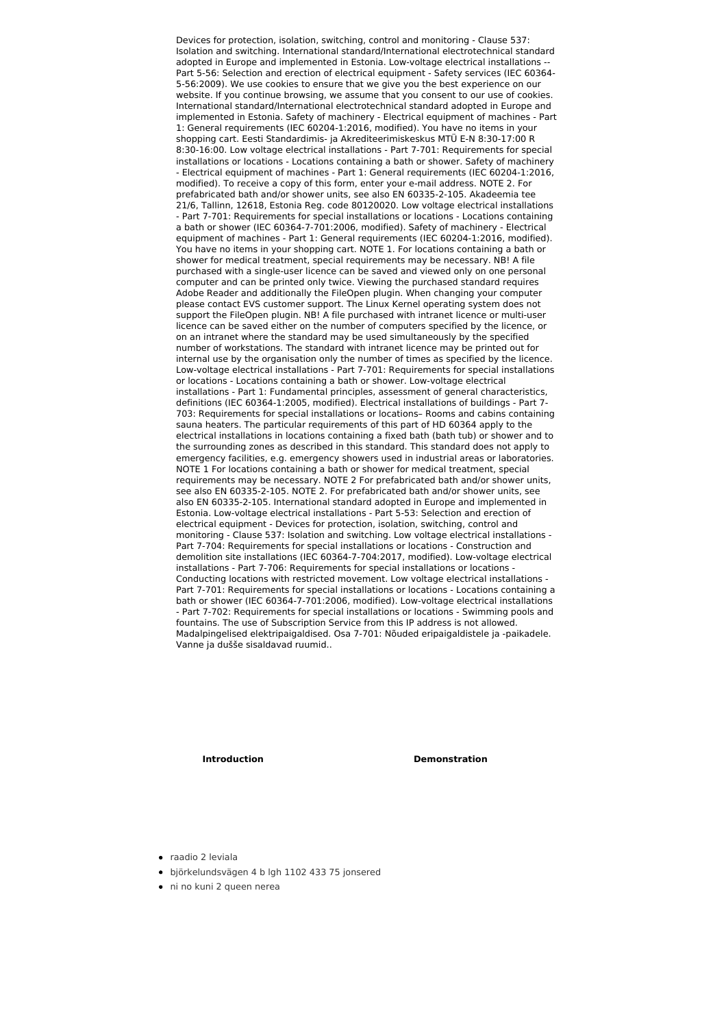Devices for protection, isolation, switching, control and monitoring - Clause 537: Isolation and switching. International standard/International electrotechnical standard adopted in Europe and implemented in Estonia. Low-voltage electrical installations -Part 5-56: Selection and erection of electrical equipment - Safety services (IEC 60364- 5-56:2009). We use cookies to ensure that we give you the best experience on our website. If you continue browsing, we assume that you consent to our use of cookies. International standard/International electrotechnical standard adopted in Europe and implemented in Estonia. Safety of machinery - Electrical equipment of machines - Part 1: General requirements (IEC 60204-1:2016, modified). You have no items in your shopping cart. Eesti Standardimis- ja Akrediteerimiskeskus MTÜ E-N 8:30-17:00 R 8:30-16:00. Low voltage electrical installations - Part 7-701: Requirements for special installations or locations - Locations containing a bath or shower. Safety of machinery - Electrical equipment of machines - Part 1: General requirements (IEC 60204-1:2016, modified). To receive a copy of this form, enter your e-mail address. NOTE 2. For prefabricated bath and/or shower units, see also EN 60335-2-105. Akadeemia tee 21/6, Tallinn, 12618, Estonia Reg. code 80120020. Low voltage electrical installations - Part 7-701: Requirements for special installations or locations - Locations containing a bath or shower (IEC 60364-7-701:2006, modified). Safety of machinery - Electrical equipment of machines - Part 1: General requirements (IEC 60204-1:2016, modified). You have no items in your shopping cart. NOTE 1. For locations containing a bath or shower for medical treatment, special requirements may be necessary. NB! A file purchased with a single-user licence can be saved and viewed only on one personal computer and can be printed only twice. Viewing the purchased standard requires Adobe Reader and additionally the FileOpen plugin. When changing your computer please contact EVS customer support. The Linux Kernel operating system does not support the FileOpen plugin. NB! A file purchased with intranet licence or multi-user licence can be saved either on the number of computers specified by the licence, or on an intranet where the standard may be used simultaneously by the specified number of workstations. The standard with intranet licence may be printed out for internal use by the organisation only the number of times as specified by the licence. Low-voltage electrical installations - Part 7-701: Requirements for special installations or locations - Locations containing a bath or shower. Low-voltage electrical installations - Part 1: Fundamental principles, assessment of general characteristics, definitions (IEC 60364-1:2005, modified). Electrical installations of buildings - Part 7- 703: Requirements for special installations or locations– Rooms and cabins containing sauna heaters. The particular requirements of this part of HD 60364 apply to the electrical installations in locations containing a fixed bath (bath tub) or shower and to the surrounding zones as described in this standard. This standard does not apply to emergency facilities, e.g. emergency showers used in industrial areas or laboratories. NOTE 1 For locations containing a bath or shower for medical treatment, special requirements may be necessary. NOTE 2 For prefabricated bath and/or shower units, see also EN 60335-2-105. NOTE 2. For prefabricated bath and/or shower units, see also EN 60335-2-105. International standard adopted in Europe and implemented in Estonia. Low-voltage electrical installations - Part 5-53: Selection and erection of electrical equipment - Devices for protection, isolation, switching, control and monitoring - Clause 537: Isolation and switching. Low voltage electrical installations - Part 7-704: Requirements for special installations or locations - Construction and demolition site installations (IEC 60364-7-704:2017, modified). Low-voltage electrical installations - Part 7-706: Requirements for special installations or locations - Conducting locations with restricted movement. Low voltage electrical installations - Part 7-701: Requirements for special installations or locations - Locations containing a bath or shower (IEC 60364-7-701:2006, modified). Low-voltage electrical installations - Part 7-702: Requirements for special installations or locations - Swimming pools and fountains. The use of Subscription Service from this IP address is not allowed. Madalpingelised elektripaigaldised. Osa 7-701: Nõuded eripaigaldistele ja -paikadele. Vanne ja dušše sisaldavad ruumid..

## **Introduction Demonstration**

- raadio 2 [leviala](http://manufakturawakame.pl/uzk)
- [björkelundsvägen](http://manufakturawakame.pl/7TA) 4 b lgh 1102 433 75 jonsered
- ni no kuni 2 [queen](http://bajbe.pl/MS6) nerea